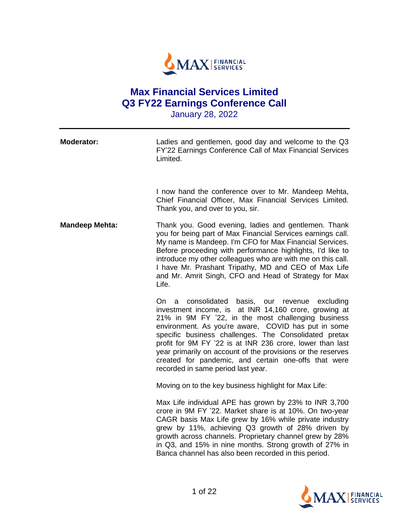

## **Max Financial Services Limited Q3 FY22 Earnings Conference Call**

January 28, 2022

| <b>Moderator:</b>     | Ladies and gentlemen, good day and welcome to the Q3<br>FY'22 Earnings Conference Call of Max Financial Services<br>Limited.                                                                                                                                                                                                                                                                                                                                                                                      |
|-----------------------|-------------------------------------------------------------------------------------------------------------------------------------------------------------------------------------------------------------------------------------------------------------------------------------------------------------------------------------------------------------------------------------------------------------------------------------------------------------------------------------------------------------------|
|                       | I now hand the conference over to Mr. Mandeep Mehta,<br>Chief Financial Officer, Max Financial Services Limited.<br>Thank you, and over to you, sir.                                                                                                                                                                                                                                                                                                                                                              |
| <b>Mandeep Mehta:</b> | Thank you. Good evening, ladies and gentlemen. Thank<br>you for being part of Max Financial Services earnings call.<br>My name is Mandeep. I'm CFO for Max Financial Services.<br>Before proceeding with performance highlights, I'd like to<br>introduce my other colleagues who are with me on this call.<br>I have Mr. Prashant Tripathy, MD and CEO of Max Life<br>and Mr. Amrit Singh, CFO and Head of Strategy for Max<br>Life.                                                                             |
|                       | consolidated basis, our revenue<br>On.<br>excluding<br>a<br>investment income, is at INR 14,160 crore, growing at<br>21% in 9M FY '22, in the most challenging business<br>environment. As you're aware, COVID has put in some<br>specific business challenges. The Consolidated pretax<br>profit for 9M FY '22 is at INR 236 crore, lower than last<br>year primarily on account of the provisions or the reserves<br>created for pandemic, and certain one-offs that were<br>recorded in same period last year. |
|                       | Moving on to the key business highlight for Max Life:                                                                                                                                                                                                                                                                                                                                                                                                                                                             |
|                       | Max Life individual APE has grown by 23% to INR 3,700<br>crore in 9M FY '22. Market share is at 10%. On two-year<br>CAGR basis Max Life grew by 16% while private industry<br>grew by 11%, achieving Q3 growth of 28% driven by<br>growth across channels. Proprietary channel grew by 28%<br>in Q3, and 15% in nine months. Strong growth of 27% in<br>Banca channel has also been recorded in this period.                                                                                                      |

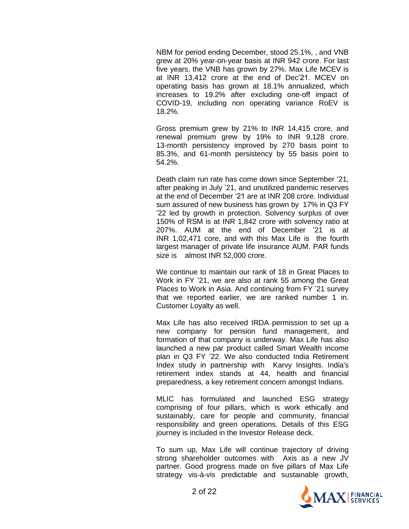NBM for period ending December, stood 25.1%, , and VNB grew at 20% year-on-year basis at INR 942 crore. For last five years, the VNB has grown by 27%. Max Life MCEV is at INR 13,412 crore at the end of Dec'21. MCEV on operating basis has grown at 18.1% annualized, which increases to 19.2% after excluding one-off impact of COVID-19, including non operating variance RoEV is 18.2%.

Gross premium grew by 21% to INR 14,415 crore, and renewal premium grew by 19% to INR 9,128 crore. 13-month persistency improved by 270 basis point to 85.3%, and 61-month persistency by 55 basis point to 54.2%.

Death claim run rate has come down since September '21, after peaking in July '21, and unutilized pandemic reserves at the end of December '21 are at INR 208 crore. Individual sum assured of new business has grown by 17% in Q3 FY '22 led by growth in protection. Solvency surplus of over 150% of RSM is at INR 1,842 crore with solvency ratio at 207%. AUM at the end of December '21 is at INR 1,02,471 core, and with this Max Life is the fourth largest manager of private life insurance AUM. PAR funds size is almost INR 52,000 crore.

We continue to maintain our rank of 18 in Great Places to Work in FY '21, we are also at rank 55 among the Great Places to Work in Asia. And continuing from FY '21 survey that we reported earlier, we are ranked number 1 in. Customer Loyalty as well.

Max Life has also received IRDA permission to set up a new company for pension fund management, and formation of that company is underway. Max Life has also launched a new par product called Smart Wealth income plan in Q3 FY '22. We also conducted India Retirement Index study in partnership with Karvy Insights. India's retirement index stands at 44, health and financial preparedness, a key retirement concern amongst Indians.

MLIC has formulated and launched ESG strategy comprising of four pillars, which is work ethically and sustainably, care for people and community, financial responsibility and green operations. Details of this ESG journey is included in the Investor Release deck.

To sum up, Max Life will continue trajectory of driving strong shareholder outcomes with Axis as a new JV partner. Good progress made on five pillars of Max Life strategy vis-à-vis predictable and sustainable growth,

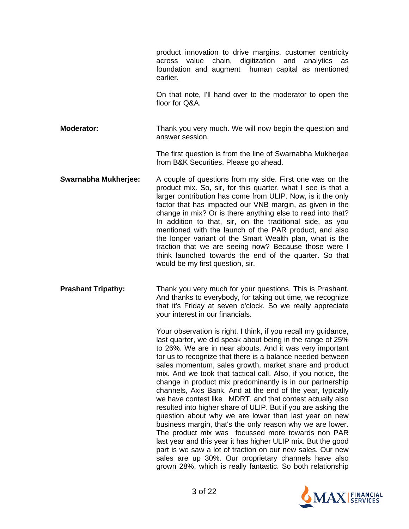product innovation to drive margins, customer centricity across value chain, digitization and analytics as foundation and augment human capital as mentioned earlier.

On that note, I'll hand over to the moderator to open the floor for Q&A.

**Moderator:** Thank you very much. We will now begin the question and answer session.

> The first question is from the line of Swarnabha Mukherjee from B&K Securities. Please go ahead.

- **Swarnabha Mukherjee:** A couple of questions from my side. First one was on the product mix. So, sir, for this quarter, what I see is that a larger contribution has come from ULIP. Now, is it the only factor that has impacted our VNB margin, as given in the change in mix? Or is there anything else to read into that? In addition to that, sir, on the traditional side, as you mentioned with the launch of the PAR product, and also the longer variant of the Smart Wealth plan, what is the traction that we are seeing now? Because those were I think launched towards the end of the quarter. So that would be my first question, sir.
- **Prashant Tripathy:** Thank you very much for your questions. This is Prashant. And thanks to everybody, for taking out time, we recognize that it's Friday at seven o'clock. So we really appreciate your interest in our financials.

Your observation is right. I think, if you recall my guidance, last quarter, we did speak about being in the range of 25% to 26%. We are in near abouts. And it was very important for us to recognize that there is a balance needed between sales momentum, sales growth, market share and product mix. And we took that tactical call. Also, if you notice, the change in product mix predominantly is in our partnership channels, Axis Bank. And at the end of the year, typically we have contest like MDRT, and that contest actually also resulted into higher share of ULIP. But if you are asking the question about why we are lower than last year on new business margin, that's the only reason why we are lower. The product mix was focussed more towards non PAR last year and this year it has higher ULIP mix. But the good part is we saw a lot of traction on our new sales. Our new sales are up 30%. Our proprietary channels have also grown 28%, which is really fantastic. So both relationship

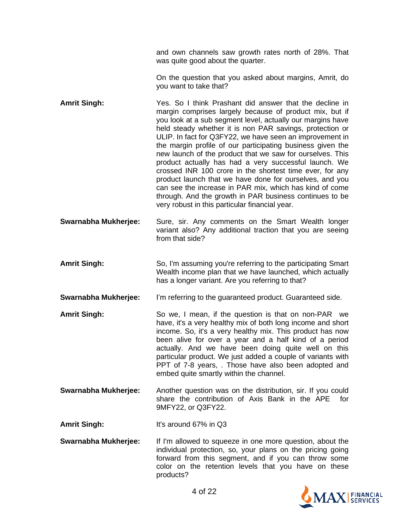and own channels saw growth rates north of 28%. That was quite good about the quarter.

On the question that you asked about margins, Amrit, do you want to take that?

- **Amrit Singh:** Yes. So I think Prashant did answer that the decline in margin comprises largely because of product mix, but if you look at a sub segment level, actually our margins have held steady whether it is non PAR savings, protection or ULIP. In fact for Q3FY22, we have seen an improvement in the margin profile of our participating business given the new launch of the product that we saw for ourselves. This product actually has had a very successful launch. We crossed INR 100 crore in the shortest time ever, for any product launch that we have done for ourselves, and you can see the increase in PAR mix, which has kind of come through. And the growth in PAR business continues to be very robust in this particular financial year.
- **Swarnabha Mukherjee:** Sure, sir. Any comments on the Smart Wealth longer variant also? Any additional traction that you are seeing from that side?
- **Amrit Singh:** So, I'm assuming you're referring to the participating Smart Wealth income plan that we have launched, which actually has a longer variant. Are you referring to that?
- **Swarnabha Mukherjee:** I'm referring to the guaranteed product. Guaranteed side.
- **Amrit Singh:** So we, I mean, if the question is that on non-PAR we have, it's a very healthy mix of both long income and short income. So, it's a very healthy mix. This product has now been alive for over a year and a half kind of a period actually. And we have been doing quite well on this particular product. We just added a couple of variants with PPT of 7-8 years, . Those have also been adopted and embed quite smartly within the channel.
- **Swarnabha Mukherjee:** Another question was on the distribution, sir. If you could share the contribution of Axis Bank in the APE for 9MFY22, or Q3FY22.

**Amrit Singh:** It's around 67% in Q3

**Swarnabha Mukherjee:** If I'm allowed to squeeze in one more question, about the individual protection, so, your plans on the pricing going forward from this segment, and if you can throw some color on the retention levels that you have on these products?

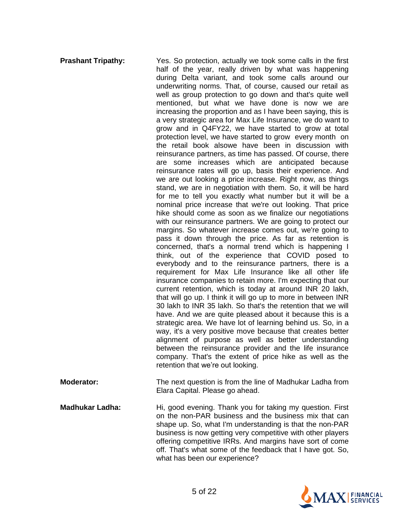**Prashant Tripathy:** Yes. So protection, actually we took some calls in the first half of the year, really driven by what was happening during Delta variant, and took some calls around our underwriting norms. That, of course, caused our retail as well as group protection to go down and that's quite well mentioned, but what we have done is now we are increasing the proportion and as I have been saying, this is a very strategic area for Max Life Insurance, we do want to grow and in Q4FY22, we have started to grow at total protection level, we have started to grow every month on the retail book alsowe have been in discussion with reinsurance partners, as time has passed. Of course, there are some increases which are anticipated because reinsurance rates will go up, basis their experience. And we are out looking a price increase. Right now, as things stand, we are in negotiation with them. So, it will be hard for me to tell you exactly what number but it will be a nominal price increase that we're out looking. That price hike should come as soon as we finalize our negotiations with our reinsurance partners. We are going to protect our margins. So whatever increase comes out, we're going to pass it down through the price. As far as retention is concerned, that's a normal trend which is happening I think, out of the experience that COVID posed to everybody and to the reinsurance partners, there is a requirement for Max Life Insurance like all other life insurance companies to retain more. I'm expecting that our current retention, which is today at around INR 20 lakh, that will go up. I think it will go up to more in between INR 30 lakh to INR 35 lakh. So that's the retention that we will have. And we are quite pleased about it because this is a strategic area. We have lot of learning behind us. So, in a way, it's a very positive move because that creates better alignment of purpose as well as better understanding between the reinsurance provider and the life insurance company. That's the extent of price hike as well as the retention that we're out looking.

**Moderator:** The next question is from the line of Madhukar Ladha from Elara Capital. Please go ahead.

**Madhukar Ladha:** Hi, good evening. Thank you for taking my question. First on the non-PAR business and the business mix that can shape up. So, what I'm understanding is that the non-PAR business is now getting very competitive with other players offering competitive IRRs. And margins have sort of come off. That's what some of the feedback that I have got. So, what has been our experience?

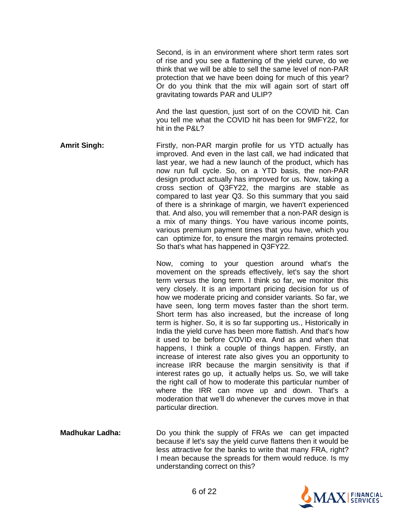Second, is in an environment where short term rates sort of rise and you see a flattening of the yield curve, do we think that we will be able to sell the same level of non-PAR protection that we have been doing for much of this year? Or do you think that the mix will again sort of start off gravitating towards PAR and ULIP?

And the last question, just sort of on the COVID hit. Can you tell me what the COVID hit has been for 9MFY22, for hit in the P&L?

**Amrit Singh:** Firstly, non-PAR margin profile for us YTD actually has improved. And even in the last call, we had indicated that last year, we had a new launch of the product, which has now run full cycle. So, on a YTD basis, the non-PAR design product actually has improved for us. Now, taking a cross section of Q3FY22, the margins are stable as compared to last year Q3. So this summary that you said of there is a shrinkage of margin, we haven't experienced that. And also, you will remember that a non-PAR design is a mix of many things. You have various income points, various premium payment times that you have, which you can optimize for, to ensure the margin remains protected. So that's what has happened in Q3FY22.

> Now, coming to your question around what's the movement on the spreads effectively, let's say the short term versus the long term. I think so far, we monitor this very closely. It is an important pricing decision for us of how we moderate pricing and consider variants. So far, we have seen, long term moves faster than the short term. Short term has also increased, but the increase of long term is higher. So, it is so far supporting us., Historically in India the yield curve has been more flattish. And that's how it used to be before COVID era. And as and when that happens, I think a couple of things happen. Firstly, an increase of interest rate also gives you an opportunity to increase IRR because the margin sensitivity is that if interest rates go up, it actually helps us. So, we will take the right call of how to moderate this particular number of where the IRR can move up and down. That's a moderation that we'll do whenever the curves move in that particular direction.

**Madhukar Ladha:** Do you think the supply of FRAs we can get impacted because if let's say the yield curve flattens then it would be less attractive for the banks to write that many FRA, right? I mean because the spreads for them would reduce. Is my understanding correct on this?

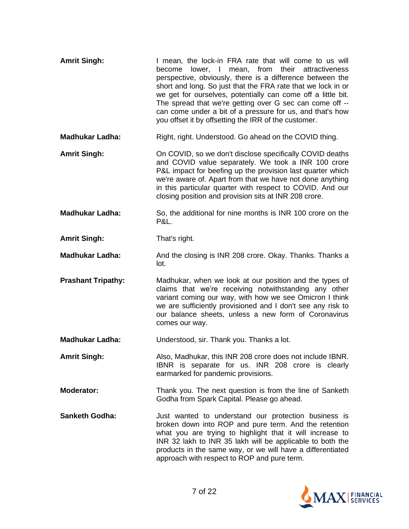**Amrit Singh:** I mean, the lock-in FRA rate that will come to us will become lower, I mean, from their attractiveness perspective, obviously, there is a difference between the short and long. So just that the FRA rate that we lock in or we get for ourselves, potentially can come off a little bit. The spread that we're getting over G sec can come off - can come under a bit of a pressure for us, and that's how you offset it by offsetting the IRR of the customer. **Madhukar Ladha:** Right, right. Understood. Go ahead on the COVID thing. **Amrit Singh:** On COVID, so we don't disclose specifically COVID deaths and COVID value separately. We took a INR 100 crore P&L impact for beefing up the provision last quarter which we're aware of. Apart from that we have not done anything in this particular quarter with respect to COVID. And our closing position and provision sits at INR 208 crore. **Madhukar Ladha:** So, the additional for nine months is INR 100 crore on the P&L. **Amrit Singh:** That's right. **Madhukar Ladha:** And the closing is INR 208 crore. Okay. Thanks. Thanks a lot. **Prashant Tripathy:** Madhukar, when we look at our position and the types of claims that we're receiving notwithstanding any other variant coming our way, with how we see Omicron I think we are sufficiently provisioned and I don't see any risk to our balance sheets, unless a new form of Coronavirus comes our way. **Madhukar Ladha:** Understood, sir. Thank you. Thanks a lot. **Amrit Singh:** Also, Madhukar, this INR 208 crore does not include IBNR. IBNR is separate for us. INR 208 crore is clearly earmarked for pandemic provisions. **Moderator:** Thank you. The next question is from the line of Sanketh Godha from Spark Capital. Please go ahead. **Sanketh Godha:** Just wanted to understand our protection business is broken down into ROP and pure term. And the retention what you are trying to highlight that it will increase to INR 32 lakh to INR 35 lakh will be applicable to both the products in the same way, or we will have a differentiated approach with respect to ROP and pure term.

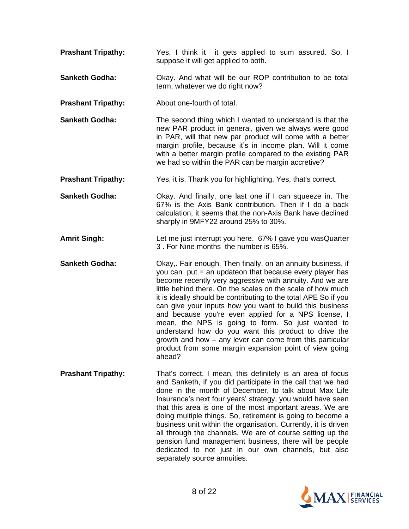| <b>Prashant Tripathy:</b> | Yes, I think it it gets applied to sum assured. So, I                                                                                                                                                                                                                                                                                                                                                                                                                                                                                                                                                                                                                                  |
|---------------------------|----------------------------------------------------------------------------------------------------------------------------------------------------------------------------------------------------------------------------------------------------------------------------------------------------------------------------------------------------------------------------------------------------------------------------------------------------------------------------------------------------------------------------------------------------------------------------------------------------------------------------------------------------------------------------------------|
|                           | suppose it will get applied to both.                                                                                                                                                                                                                                                                                                                                                                                                                                                                                                                                                                                                                                                   |
| <b>Sanketh Godha:</b>     | Okay. And what will be our ROP contribution to be total<br>term, whatever we do right now?                                                                                                                                                                                                                                                                                                                                                                                                                                                                                                                                                                                             |
| <b>Prashant Tripathy:</b> | About one-fourth of total.                                                                                                                                                                                                                                                                                                                                                                                                                                                                                                                                                                                                                                                             |
| <b>Sanketh Godha:</b>     | The second thing which I wanted to understand is that the<br>new PAR product in general, given we always were good<br>in PAR, will that new par product will come with a better<br>margin profile, because it's in income plan. Will it come<br>with a better margin profile compared to the existing PAR<br>we had so within the PAR can be margin accretive?                                                                                                                                                                                                                                                                                                                         |
| <b>Prashant Tripathy:</b> | Yes, it is. Thank you for highlighting. Yes, that's correct.                                                                                                                                                                                                                                                                                                                                                                                                                                                                                                                                                                                                                           |
| <b>Sanketh Godha:</b>     | Okay. And finally, one last one if I can squeeze in. The<br>67% is the Axis Bank contribution. Then if I do a back<br>calculation, it seems that the non-Axis Bank have declined<br>sharply in 9MFY22 around 25% to 30%.                                                                                                                                                                                                                                                                                                                                                                                                                                                               |
| <b>Amrit Singh:</b>       | Let me just interrupt you here. 67% I gave you was Quarter<br>3. For Nine months the number is 65%.                                                                                                                                                                                                                                                                                                                                                                                                                                                                                                                                                                                    |
| <b>Sanketh Godha:</b>     | Okay,. Fair enough. Then finally, on an annuity business, if<br>you can put = an updateon that because every player has<br>become recently very aggressive with annuity. And we are<br>little behind there. On the scales on the scale of how much<br>it is ideally should be contributing to the total APE So if you<br>can give your inputs how you want to build this business<br>and because you're even applied for a NPS license, I<br>mean, the NPS is going to form. So just wanted to<br>understand how do you want this product to drive the<br>growth and how - any lever can come from this particular<br>product from some margin expansion point of view going<br>ahead? |
| <b>Prashant Tripathy:</b> | That's correct. I mean, this definitely is an area of focus<br>and Sanketh, if you did participate in the call that we had<br>done in the month of December, to talk about Max Life<br>Insurance's next four years' strategy, you would have seen<br>that this area is one of the most important areas. We are<br>doing multiple things. So, retirement is going to become a<br>business unit within the organisation. Currently, it is driven<br>all through the channels. We are of course setting up the<br>pension fund management business, there will be people<br>dedicated to not just in our own channels, but also<br>separately source annuities.                           |

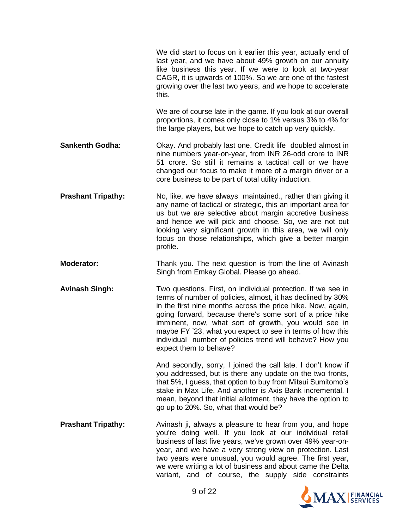We did start to focus on it earlier this year, actually end of last year, and we have about 49% growth on our annuity like business this year. If we were to look at two-year CAGR, it is upwards of 100%. So we are one of the fastest growing over the last two years, and we hope to accelerate this.

We are of course late in the game. If you look at our overall proportions, it comes only close to 1% versus 3% to 4% for the large players, but we hope to catch up very quickly.

**Sankenth Godha:** Okay. And probably last one. Credit life doubled almost in nine numbers year-on-year, from INR 26-odd crore to INR 51 crore. So still it remains a tactical call or we have changed our focus to make it more of a margin driver or a core business to be part of total utility induction.

- **Prashant Tripathy:** No, like, we have always maintained., rather than giving it any name of tactical or strategic, this an important area for us but we are selective about margin accretive business and hence we will pick and choose. So, we are not out looking very significant growth in this area, we will only focus on those relationships, which give a better margin profile.
- **Moderator:** Thank you. The next question is from the line of Avinash Singh from Emkay Global. Please go ahead.
- **Avinash Singh:** Two questions. First, on individual protection. If we see in terms of number of policies, almost, it has declined by 30% in the first nine months across the price hike. Now, again, going forward, because there's some sort of a price hike imminent, now, what sort of growth, you would see in maybe FY '23, what you expect to see in terms of how this individual number of policies trend will behave? How you expect them to behave?

And secondly, sorry, I joined the call late. I don't know if you addressed, but is there any update on the two fronts, that 5%, I guess, that option to buy from Mitsui Sumitomo's stake in Max Life. And another is Axis Bank incremental. I mean, beyond that initial allotment, they have the option to go up to 20%. So, what that would be?

**Prashant Tripathy:** Avinash ji, always a pleasure to hear from you, and hope you're doing well. If you look at our individual retail business of last five years, we've grown over 49% year-onyear, and we have a very strong view on protection. Last two years were unusual, you would agree. The first year, we were writing a lot of business and about came the Delta variant, and of course, the supply side constraints

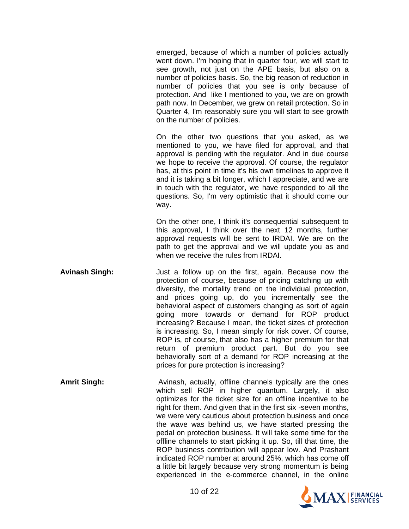emerged, because of which a number of policies actually went down. I'm hoping that in quarter four, we will start to see growth, not just on the APE basis, but also on a number of policies basis. So, the big reason of reduction in number of policies that you see is only because of protection. And like I mentioned to you, we are on growth path now. In December, we grew on retail protection. So in Quarter 4, I'm reasonably sure you will start to see growth on the number of policies.

On the other two questions that you asked, as we mentioned to you, we have filed for approval, and that approval is pending with the regulator. And in due course we hope to receive the approval. Of course, the regulator has, at this point in time it's his own timelines to approve it and it is taking a bit longer, which I appreciate, and we are in touch with the regulator, we have responded to all the questions. So, I'm very optimistic that it should come our way.

On the other one, I think it's consequential subsequent to this approval, I think over the next 12 months, further approval requests will be sent to IRDAI. We are on the path to get the approval and we will update you as and when we receive the rules from IRDAI.

- **Avinash Singh:** Just a follow up on the first, again. Because now the protection of course, because of pricing catching up with diversity, the mortality trend on the individual protection, and prices going up, do you incrementally see the behavioral aspect of customers changing as sort of again going more towards or demand for ROP product increasing? Because I mean, the ticket sizes of protection is increasing. So, I mean simply for risk cover. Of course, ROP is, of course, that also has a higher premium for that return of premium product part. But do you see behaviorally sort of a demand for ROP increasing at the prices for pure protection is increasing?
- **Amrit Singh:** Avinash, actually, offline channels typically are the ones which sell ROP in higher quantum. Largely, it also optimizes for the ticket size for an offline incentive to be right for them. And given that in the first six -seven months, we were very cautious about protection business and once the wave was behind us, we have started pressing the pedal on protection business. It will take some time for the offline channels to start picking it up. So, till that time, the ROP business contribution will appear low. And Prashant indicated ROP number at around 25%, which has come off a little bit largely because very strong momentum is being experienced in the e-commerce channel, in the online

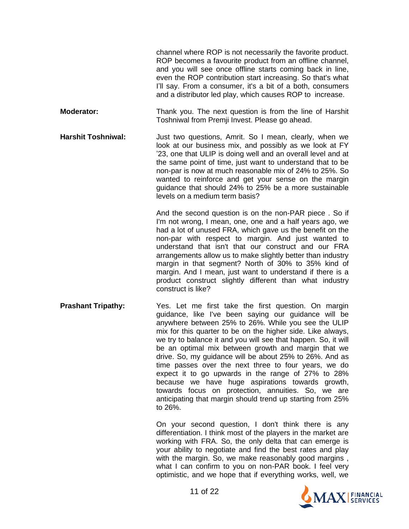channel where ROP is not necessarily the favorite product. ROP becomes a favourite product from an offline channel, and you will see once offline starts coming back in line, even the ROP contribution start increasing. So that's what I'll say. From a consumer, it's a bit of a both, consumers and a distributor led play, which causes ROP to increase.

**Moderator:** Thank you. The next question is from the line of Harshit Toshniwal from Premji Invest. Please go ahead.

**Harshit Toshniwal:** Just two questions, Amrit. So I mean, clearly, when we look at our business mix, and possibly as we look at FY '23, one that ULIP is doing well and an overall level and at the same point of time, just want to understand that to be non-par is now at much reasonable mix of 24% to 25%. So wanted to reinforce and get your sense on the margin guidance that should 24% to 25% be a more sustainable levels on a medium term basis?

> And the second question is on the non-PAR piece . So if I'm not wrong, I mean, one, one and a half years ago, we had a lot of unused FRA, which gave us the benefit on the non-par with respect to margin. And just wanted to understand that isn't that our construct and our FRA arrangements allow us to make slightly better than industry margin in that segment? North of 30% to 35% kind of margin. And I mean, just want to understand if there is a product construct slightly different than what industry construct is like?

**Prashant Tripathy:** Yes. Let me first take the first question. On margin guidance, like I've been saying our guidance will be anywhere between 25% to 26%. While you see the ULIP mix for this quarter to be on the higher side. Like always, we try to balance it and you will see that happen. So, it will be an optimal mix between growth and margin that we drive. So, my guidance will be about 25% to 26%. And as time passes over the next three to four years, we do expect it to go upwards in the range of 27% to 28% because we have huge aspirations towards growth, towards focus on protection, annuities. So, we are anticipating that margin should trend up starting from 25% to 26%.

> On your second question, I don't think there is any differentiation. I think most of the players in the market are working with FRA. So, the only delta that can emerge is your ability to negotiate and find the best rates and play with the margin. So, we make reasonably good margins, what I can confirm to you on non-PAR book. I feel very optimistic, and we hope that if everything works, well, we

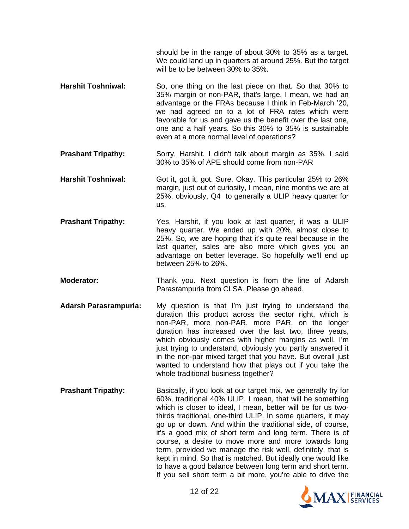should be in the range of about 30% to 35% as a target. We could land up in quarters at around 25%. But the target will be to be between 30% to 35%.

- **Harshit Toshniwal:** So, one thing on the last piece on that. So that 30% to 35% margin or non-PAR, that's large. I mean, we had an advantage or the FRAs because I think in Feb-March '20, we had agreed on to a lot of FRA rates which were favorable for us and gave us the benefit over the last one, one and a half years. So this 30% to 35% is sustainable even at a more normal level of operations?
- **Prashant Tripathy:** Sorry, Harshit. I didn't talk about margin as 35%. I said 30% to 35% of APE should come from non-PAR
- **Harshit Toshniwal:** Got it, got it, got. Sure. Okay. This particular 25% to 26% margin, just out of curiosity, I mean, nine months we are at 25%, obviously, Q4 to generally a ULIP heavy quarter for us.
- **Prashant Tripathy:** Yes, Harshit, if you look at last quarter, it was a ULIP heavy quarter. We ended up with 20%, almost close to 25%. So, we are hoping that it's quite real because in the last quarter, sales are also more which gives you an advantage on better leverage. So hopefully we'll end up between 25% to 26%.
- **Moderator:** Thank you. Next question is from the line of Adarsh Parasrampuria from CLSA. Please go ahead.
- **Adarsh Parasrampuria:** My question is that I'm just trying to understand the duration this product across the sector right, which is non-PAR, more non-PAR, more PAR, on the longer duration has increased over the last two, three years, which obviously comes with higher margins as well. I'm just trying to understand, obviously you partly answered it in the non-par mixed target that you have. But overall just wanted to understand how that plays out if you take the whole traditional business together?
- **Prashant Tripathy:** Basically, if you look at our target mix, we generally try for 60%, traditional 40% ULIP. I mean, that will be something which is closer to ideal, I mean, better will be for us twothirds traditional, one-third ULIP. In some quarters, it may go up or down. And within the traditional side, of course, it's a good mix of short term and long term. There is of course, a desire to move more and more towards long term, provided we manage the risk well, definitely, that is kept in mind. So that is matched. But ideally one would like to have a good balance between long term and short term. If you sell short term a bit more, you're able to drive the

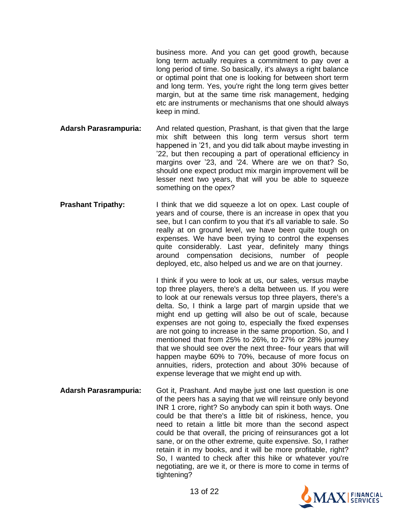business more. And you can get good growth, because long term actually requires a commitment to pay over a long period of time. So basically, it's always a right balance or optimal point that one is looking for between short term and long term. Yes, you're right the long term gives better margin, but at the same time risk management, hedging etc are instruments or mechanisms that one should always keep in mind.

**Adarsh Parasrampuria:** And related question, Prashant, is that given that the large mix shift between this long term versus short term happened in '21, and you did talk about maybe investing in '22, but then recouping a part of operational efficiency in margins over '23, and '24. Where are we on that? So, should one expect product mix margin improvement will be lesser next two years, that will you be able to squeeze something on the opex?

**Prashant Tripathy:** I think that we did squeeze a lot on opex. Last couple of years and of course, there is an increase in opex that you see, but I can confirm to you that it's all variable to sale. So really at on ground level, we have been quite tough on expenses. We have been trying to control the expenses quite considerably. Last year, definitely many things around compensation decisions, number of people deployed, etc, also helped us and we are on that journey.

> I think if you were to look at us, our sales, versus maybe top three players, there's a delta between us. If you were to look at our renewals versus top three players, there's a delta. So, I think a large part of margin upside that we might end up getting will also be out of scale, because expenses are not going to, especially the fixed expenses are not going to increase in the same proportion. So, and I mentioned that from 25% to 26%, to 27% or 28% journey that we should see over the next three- four years that will happen maybe 60% to 70%, because of more focus on annuities, riders, protection and about 30% because of expense leverage that we might end up with.

**Adarsh Parasrampuria:** Got it, Prashant. And maybe just one last question is one of the peers has a saying that we will reinsure only beyond INR 1 crore, right? So anybody can spin it both ways. One could be that there's a little bit of riskiness, hence, you need to retain a little bit more than the second aspect could be that overall, the pricing of reinsurances got a lot sane, or on the other extreme, quite expensive. So, I rather retain it in my books, and it will be more profitable, right? So, I wanted to check after this hike or whatever you're negotiating, are we it, or there is more to come in terms of tightening?

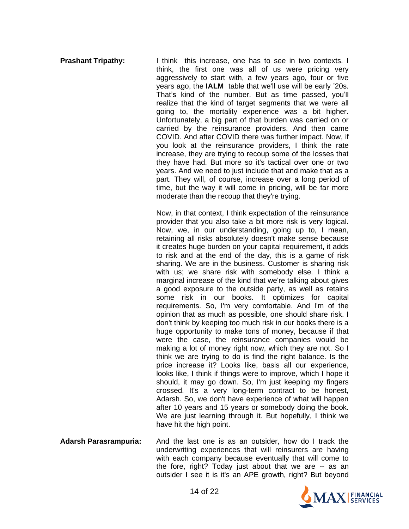**Prashant Tripathy:** I think this increase, one has to see in two contexts. I think, the first one was all of us were pricing very aggressively to start with, a few years ago, four or five years ago, the **IALM** table that we'll use will be early '20s. That's kind of the number. But as time passed, you'll realize that the kind of target segments that we were all going to, the mortality experience was a bit higher. Unfortunately, a big part of that burden was carried on or carried by the reinsurance providers. And then came COVID. And after COVID there was further impact. Now, if you look at the reinsurance providers, I think the rate increase, they are trying to recoup some of the losses that they have had. But more so it's tactical over one or two years. And we need to just include that and make that as a part. They will, of course, increase over a long period of time, but the way it will come in pricing, will be far more moderate than the recoup that they're trying.

> Now, in that context, I think expectation of the reinsurance provider that you also take a bit more risk is very logical. Now, we, in our understanding, going up to, I mean, retaining all risks absolutely doesn't make sense because it creates huge burden on your capital requirement, it adds to risk and at the end of the day, this is a game of risk sharing. We are in the business. Customer is sharing risk with us; we share risk with somebody else. I think a marginal increase of the kind that we're talking about gives a good exposure to the outside party, as well as retains some risk in our books. It optimizes for capital requirements. So, I'm very comfortable. And I'm of the opinion that as much as possible, one should share risk. I don't think by keeping too much risk in our books there is a huge opportunity to make tons of money, because if that were the case, the reinsurance companies would be making a lot of money right now, which they are not. So I think we are trying to do is find the right balance. Is the price increase it? Looks like, basis all our experience, looks like, I think if things were to improve, which I hope it should, it may go down. So, I'm just keeping my fingers crossed. It's a very long-term contract to be honest, Adarsh. So, we don't have experience of what will happen after 10 years and 15 years or somebody doing the book. We are just learning through it. But hopefully, I think we have hit the high point.

**Adarsh Parasrampuria:** And the last one is as an outsider, how do I track the underwriting experiences that will reinsurers are having with each company because eventually that will come to the fore, right? Today just about that we are -- as an outsider I see it is it's an APE growth, right? But beyond

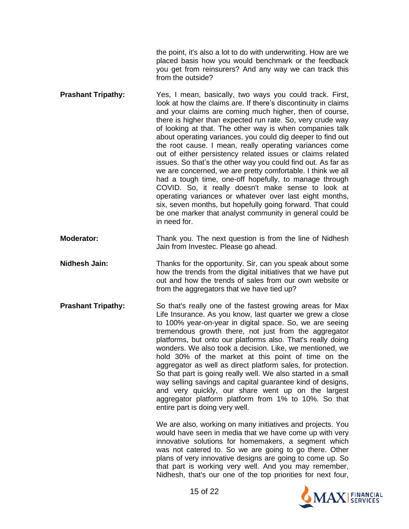the point, it's also a lot to do with underwriting. How are we placed basis how you would benchmark or the feedback you get from reinsurers? And any way we can track this from the outside?

- **Prashant Tripathy:** Yes, I mean, basically, two ways you could track. First, look at how the claims are. If there's discontinuity in claims and your claims are coming much higher, then of course, there is higher than expected run rate. So, very crude way of looking at that. The other way is when companies talk about operating variances, you could dig deeper to find out the root cause. I mean, really operating variances come out of either persistency related issues or claims related issues. So that's the other way you could find out. As far as we are concerned, we are pretty comfortable. I think we all had a tough time, one-off hopefully, to manage through COVID. So, it really doesn't make sense to look at operating variances or whatever over last eight months, six, seven months, but hopefully going forward. That could be one marker that analyst community in general could be in need for.
- **Moderator:** Thank you. The next question is from the line of Nidhesh Jain from Investec. Please go ahead.
- **Nidhesh Jain:** Thanks for the opportunity. Sir, can you speak about some how the trends from the digital initiatives that we have put out and how the trends of sales from our own website or from the aggregators that we have tied up?
- **Prashant Tripathy:** So that's really one of the fastest growing areas for Max Life Insurance. As you know, last quarter we grew a close to 100% year-on-year in digital space. So, we are seeing tremendous growth there, not just from the aggregator platforms, but onto our platforms also. That's really doing wonders. We also took a decision. Like, we mentioned, we hold 30% of the market at this point of time on the aggregator as well as direct platform sales, for protection. So that part is going really well. We also started in a small way selling savings and capital guarantee kind of designs, and very quickly, our share went up on the largest aggregator platform platform from 1% to 10%. So that entire part is doing very well.

We are also, working on many initiatives and projects. You would have seen in media that we have come up with very innovative solutions for homemakers, a segment which was not catered to. So we are going to go there. Other plans of very innovative designs are going to come up. So that part is working very well. And you may remember, Nidhesh, that's our one of the top priorities for next four,

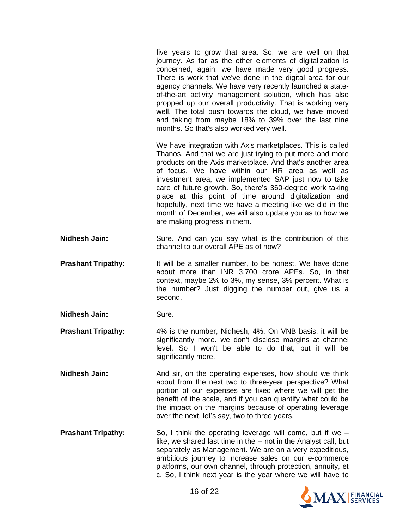five years to grow that area. So, we are well on that journey. As far as the other elements of digitalization is concerned, again, we have made very good progress. There is work that we've done in the digital area for our agency channels. We have very recently launched a stateof-the-art activity management solution, which has also propped up our overall productivity. That is working very well. The total push towards the cloud, we have moved and taking from maybe 18% to 39% over the last nine months. So that's also worked very well.

We have integration with Axis marketplaces. This is called Thanos. And that we are just trying to put more and more products on the Axis marketplace. And that's another area of focus. We have within our HR area as well as investment area, we implemented SAP just now to take care of future growth. So, there's 360-degree work taking place at this point of time around digitalization and hopefully, next time we have a meeting like we did in the month of December, we will also update you as to how we are making progress in them.

- **Nidhesh Jain:** Sure. And can you say what is the contribution of this channel to our overall APE as of now?
- **Prashant Tripathy:** It will be a smaller number, to be honest. We have done about more than INR 3,700 crore APEs. So, in that context, maybe 2% to 3%, my sense, 3% percent. What is the number? Just digging the number out, give us a second.
- **Nidhesh Jain:** Sure.
- **Prashant Tripathy:** 4% is the number, Nidhesh, 4%. On VNB basis, it will be significantly more. we don't disclose margins at channel level. So I won't be able to do that, but it will be significantly more.
- **Nidhesh Jain:** And sir, on the operating expenses, how should we think about from the next two to three-year perspective? What portion of our expenses are fixed where we will get the benefit of the scale, and if you can quantify what could be the impact on the margins because of operating leverage over the next, let's say, two to three years.
- **Prashant Tripathy:** So, I think the operating leverage will come, but if we like, we shared last time in the -- not in the Analyst call, but separately as Management. We are on a very expeditious, ambitious journey to increase sales on our e-commerce platforms, our own channel, through protection, annuity, et c. So, I think next year is the year where we will have to

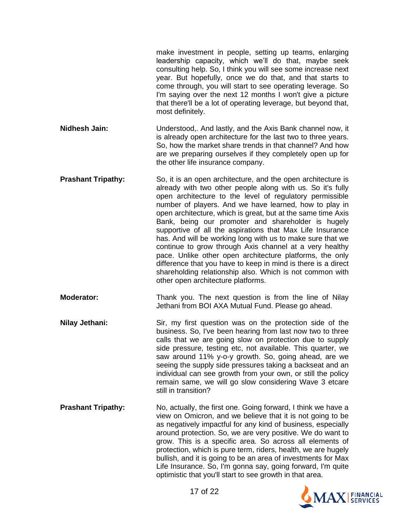make investment in people, setting up teams, enlarging leadership capacity, which we'll do that, maybe seek consulting help. So, I think you will see some increase next year. But hopefully, once we do that, and that starts to come through, you will start to see operating leverage. So I'm saying over the next 12 months I won't give a picture that there'll be a lot of operating leverage, but beyond that, most definitely.

- **Nidhesh Jain:** Understood,. And lastly, and the Axis Bank channel now, it is already open architecture for the last two to three years. So, how the market share trends in that channel? And how are we preparing ourselves if they completely open up for the other life insurance company.
- **Prashant Tripathy:** So, it is an open architecture, and the open architecture is already with two other people along with us. So it's fully open architecture to the level of regulatory permissible number of players. And we have learned, how to play in open architecture, which is great, but at the same time Axis Bank, being our promoter and shareholder is hugely supportive of all the aspirations that Max Life Insurance has. And will be working long with us to make sure that we continue to grow through Axis channel at a very healthy pace. Unlike other open architecture platforms, the only difference that you have to keep in mind is there is a direct shareholding relationship also. Which is not common with other open architecture platforms.

**Moderator:** Thank you. The next question is from the line of Nilay Jethani from BOI AXA Mutual Fund. Please go ahead.

- **Nilay Jethani:** Sir, my first question was on the protection side of the business. So, I've been hearing from last now two to three calls that we are going slow on protection due to supply side pressure, testing etc, not available. This quarter, we saw around 11% y-o-y growth. So, going ahead, are we seeing the supply side pressures taking a backseat and an individual can see growth from your own, or still the policy remain same, we will go slow considering Wave 3 etcare still in transition?
- **Prashant Tripathy:** No, actually, the first one. Going forward, I think we have a view on Omicron, and we believe that it is not going to be as negatively impactful for any kind of business, especially around protection. So, we are very positive. We do want to grow. This is a specific area. So across all elements of protection, which is pure term, riders, health, we are hugely bullish, and it is going to be an area of investments for Max Life Insurance. So, I'm gonna say, going forward, I'm quite optimistic that you'll start to see growth in that area.

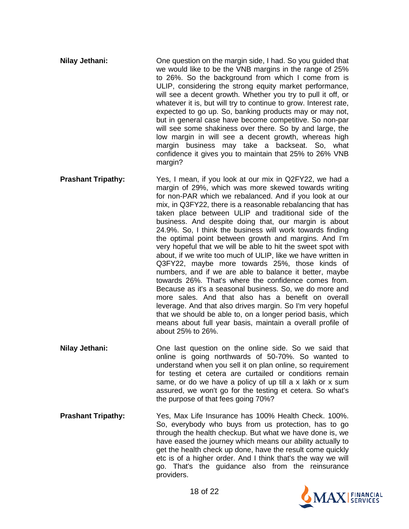- **Nilay Jethani:** One question on the margin side, I had. So you guided that we would like to be the VNB margins in the range of 25% to 26%. So the background from which I come from is ULIP, considering the strong equity market performance, will see a decent growth. Whether you try to pull it off, or whatever it is, but will try to continue to grow. Interest rate, expected to go up. So, banking products may or may not, but in general case have become competitive. So non-par will see some shakiness over there. So by and large, the low margin in will see a decent growth, whereas high margin business may take a backseat. So, what confidence it gives you to maintain that 25% to 26% VNB margin?
- **Prashant Tripathy:** Yes, I mean, if you look at our mix in Q2FY22, we had a margin of 29%, which was more skewed towards writing for non-PAR which we rebalanced. And if you look at our mix, in Q3FY22, there is a reasonable rebalancing that has taken place between ULIP and traditional side of the business. And despite doing that, our margin is about 24.9%. So, I think the business will work towards finding the optimal point between growth and margins. And I'm very hopeful that we will be able to hit the sweet spot with about, if we write too much of ULIP, like we have written in Q3FY22, maybe more towards 25%, those kinds of numbers, and if we are able to balance it better, maybe towards 26%. That's where the confidence comes from. Because as it's a seasonal business. So, we do more and more sales. And that also has a benefit on overall leverage. And that also drives margin. So I'm very hopeful that we should be able to, on a longer period basis, which means about full year basis, maintain a overall profile of about 25% to 26%.
- **Nilay Jethani:** One last question on the online side. So we said that online is going northwards of 50-70%. So wanted to understand when you sell it on plan online, so requirement for testing et cetera are curtailed or conditions remain same, or do we have a policy of up till a x lakh or x sum assured, we won't go for the testing et cetera. So what's the purpose of that fees going 70%?
- **Prashant Tripathy:** Yes, Max Life Insurance has 100% Health Check. 100%. So, everybody who buys from us protection, has to go through the health checkup. But what we have done is, we have eased the journey which means our ability actually to get the health check up done, have the result come quickly etc is of a higher order. And I think that's the way we will go. That's the guidance also from the reinsurance providers.

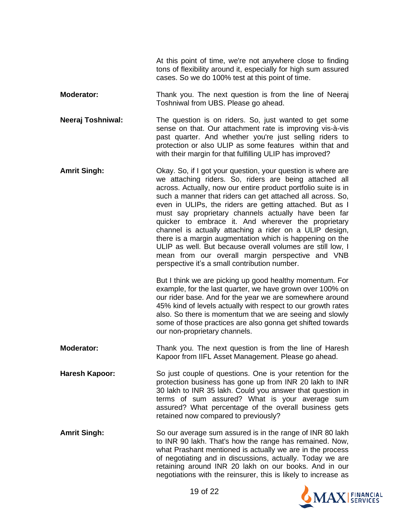|                          | At this point of time, we're not anywhere close to finding<br>tons of flexibility around it, especially for high sum assured<br>cases. So we do 100% test at this point of time.                                                                                                                                                                                                                                                                                                                                                                                                                                                                                                                                                                                                                                                                                                                                                                                                                                                                                                                                                            |
|--------------------------|---------------------------------------------------------------------------------------------------------------------------------------------------------------------------------------------------------------------------------------------------------------------------------------------------------------------------------------------------------------------------------------------------------------------------------------------------------------------------------------------------------------------------------------------------------------------------------------------------------------------------------------------------------------------------------------------------------------------------------------------------------------------------------------------------------------------------------------------------------------------------------------------------------------------------------------------------------------------------------------------------------------------------------------------------------------------------------------------------------------------------------------------|
| <b>Moderator:</b>        | Thank you. The next question is from the line of Neeraj<br>Toshniwal from UBS. Please go ahead.                                                                                                                                                                                                                                                                                                                                                                                                                                                                                                                                                                                                                                                                                                                                                                                                                                                                                                                                                                                                                                             |
| <b>Neeraj Toshniwal:</b> | The question is on riders. So, just wanted to get some<br>sense on that. Our attachment rate is improving vis-à-vis<br>past quarter. And whether you're just selling riders to<br>protection or also ULIP as some features within that and<br>with their margin for that fulfilling ULIP has improved?                                                                                                                                                                                                                                                                                                                                                                                                                                                                                                                                                                                                                                                                                                                                                                                                                                      |
| <b>Amrit Singh:</b>      | Okay. So, if I got your question, your question is where are<br>we attaching riders. So, riders are being attached all<br>across. Actually, now our entire product portfolio suite is in<br>such a manner that riders can get attached all across. So,<br>even in ULIPs, the riders are getting attached. But as I<br>must say proprietary channels actually have been far<br>quicker to embrace it. And wherever the proprietary<br>channel is actually attaching a rider on a ULIP design,<br>there is a margin augmentation which is happening on the<br>ULIP as well. But because overall volumes are still low, I<br>mean from our overall margin perspective and VNB<br>perspective it's a small contribution number.<br>But I think we are picking up good healthy momentum. For<br>example, for the last quarter, we have grown over 100% on<br>our rider base. And for the year we are somewhere around<br>45% kind of levels actually with respect to our growth rates<br>also. So there is momentum that we are seeing and slowly<br>some of those practices are also gonna get shifted towards<br>our non-proprietary channels. |
| <b>Moderator:</b>        | Thank you. The next question is from the line of Haresh<br>Kapoor from IIFL Asset Management. Please go ahead.                                                                                                                                                                                                                                                                                                                                                                                                                                                                                                                                                                                                                                                                                                                                                                                                                                                                                                                                                                                                                              |
| <b>Haresh Kapoor:</b>    | So just couple of questions. One is your retention for the<br>protection business has gone up from INR 20 lakh to INR<br>30 lakh to INR 35 lakh. Could you answer that question in<br>terms of sum assured? What is your average sum<br>assured? What percentage of the overall business gets<br>retained now compared to previously?                                                                                                                                                                                                                                                                                                                                                                                                                                                                                                                                                                                                                                                                                                                                                                                                       |
| <b>Amrit Singh:</b>      | So our average sum assured is in the range of INR 80 lakh<br>to INR 90 lakh. That's how the range has remained. Now,<br>what Prashant mentioned is actually we are in the process<br>of negotiating and in discussions, actually. Today we are<br>retaining around INR 20 lakh on our books. And in our<br>negotiations with the reinsurer, this is likely to increase as                                                                                                                                                                                                                                                                                                                                                                                                                                                                                                                                                                                                                                                                                                                                                                   |

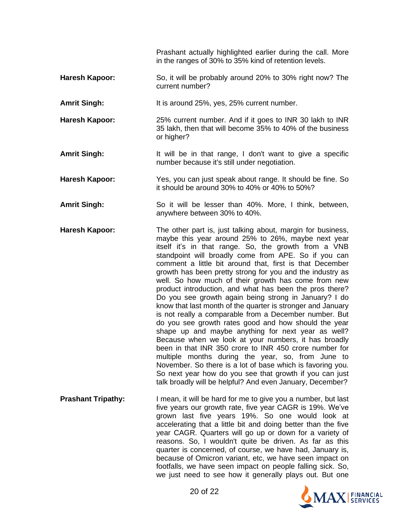Prashant actually highlighted earlier during the call. More in the ranges of 30% to 35% kind of retention levels.

- **Haresh Kapoor:** So, it will be probably around 20% to 30% right now? The current number?
- **Amrit Singh:** It is around 25%, yes, 25% current number.
- **Haresh Kapoor:** 25% current number. And if it goes to INR 30 lakh to INR 35 lakh, then that will become 35% to 40% of the business or higher?
- **Amrit Singh:** It will be in that range, I don't want to give a specific number because it's still under negotiation.
- **Haresh Kapoor:** Yes, you can just speak about range. It should be fine. So it should be around 30% to 40% or 40% to 50%?
- **Amrit Singh:** So it will be lesser than 40%. More, I think, between, anywhere between 30% to 40%.
- Haresh Kapoor: The other part is, just talking about, margin for business, maybe this year around 25% to 26%, maybe next year itself it's in that range. So, the growth from a VNB standpoint will broadly come from APE. So if you can comment a little bit around that, first is that December growth has been pretty strong for you and the industry as well. So how much of their growth has come from new product introduction, and what has been the pros there? Do you see growth again being strong in January? I do know that last month of the quarter is stronger and January is not really a comparable from a December number. But do you see growth rates good and how should the year shape up and maybe anything for next year as well? Because when we look at your numbers, it has broadly been in that INR 350 crore to INR 450 crore number for multiple months during the year, so, from June to November. So there is a lot of base which is favoring you. So next year how do you see that growth if you can just talk broadly will be helpful? And even January, December?
- **Prashant Tripathy:** I mean, it will be hard for me to give you a number, but last five years our growth rate, five year CAGR is 19%. We've grown last five years 19%. So one would look at accelerating that a little bit and doing better than the five year CAGR. Quarters will go up or down for a variety of reasons. So, I wouldn't quite be driven. As far as this quarter is concerned, of course, we have had, January is, because of Omicron variant, etc, we have seen impact on footfalls, we have seen impact on people falling sick. So, we just need to see how it generally plays out. But one

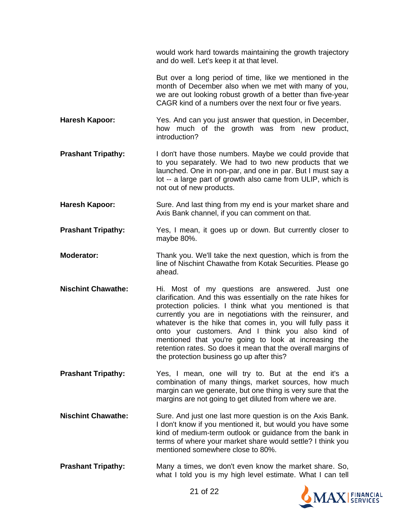would work hard towards maintaining the growth trajectory and do well. Let's keep it at that level. But over a long period of time, like we mentioned in the month of December also when we met with many of you, we are out looking robust growth of a better than five-year CAGR kind of a numbers over the next four or five years. **Haresh Kapoor:** Yes. And can you just answer that question, in December, how much of the growth was from new product, introduction? **Prashant Tripathy:** I don't have those numbers. Maybe we could provide that to you separately. We had to two new products that we launched. One in non-par, and one in par. But I must say a lot -- a large part of growth also came from ULIP, which is not out of new products. **Haresh Kapoor:** Sure. And last thing from my end is your market share and Axis Bank channel, if you can comment on that. **Prashant Tripathy:** Yes, I mean, it goes up or down. But currently closer to maybe 80%. **Moderator:** Thank you. We'll take the next question, which is from the line of Nischint Chawathe from Kotak Securities. Please go ahead. **Nischint Chawathe:** Hi. Most of my questions are answered. Just one clarification. And this was essentially on the rate hikes for protection policies. I think what you mentioned is that currently you are in negotiations with the reinsurer, and whatever is the hike that comes in, you will fully pass it onto your customers. And I think you also kind of mentioned that you're going to look at increasing the retention rates. So does it mean that the overall margins of the protection business go up after this? **Prashant Tripathy:** Yes, I mean, one will try to. But at the end it's a combination of many things, market sources, how much margin can we generate, but one thing is very sure that the margins are not going to get diluted from where we are. **Nischint Chawathe:** Sure. And just one last more question is on the Axis Bank. I don't know if you mentioned it, but would you have some

terms of where your market share would settle? I think you mentioned somewhere close to 80%. **Prashant Tripathy:** Many a times, we don't even know the market share. So,

what I told you is my high level estimate. What I can tell

kind of medium-term outlook or guidance from the bank in